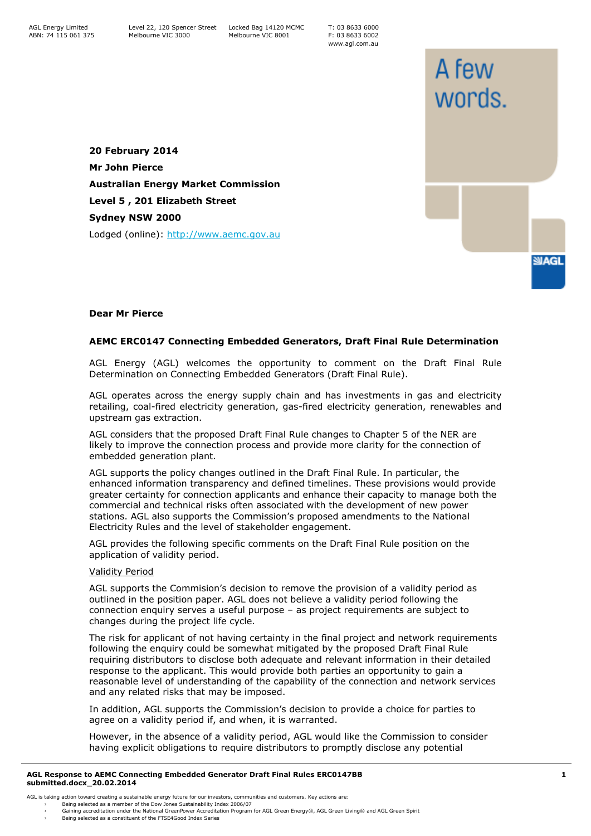T: 03 8633 6000 F: 03 8633 6002 www.agl.com.au

A few

words.

**SMAGL** 

**20 February 2014 Mr John Pierce Australian Energy Market Commission Level 5 , 201 Elizabeth Street Sydney NSW 2000** Lodged (online): [http://www.aemc.gov.au](http://www.aemc.gov.au/)

## **Dear Mr Pierce**

## **AEMC ERC0147 Connecting Embedded Generators, Draft Final Rule Determination**

AGL Energy (AGL) welcomes the opportunity to comment on the Draft Final Rule Determination on Connecting Embedded Generators (Draft Final Rule).

AGL operates across the energy supply chain and has investments in gas and electricity retailing, coal-fired electricity generation, gas-fired electricity generation, renewables and upstream gas extraction.

AGL considers that the proposed Draft Final Rule changes to Chapter 5 of the NER are likely to improve the connection process and provide more clarity for the connection of embedded generation plant.

AGL supports the policy changes outlined in the Draft Final Rule. In particular, the enhanced information transparency and defined timelines. These provisions would provide greater certainty for connection applicants and enhance their capacity to manage both the commercial and technical risks often associated with the development of new power stations. AGL also supports the Commission's proposed amendments to the National Electricity Rules and the level of stakeholder engagement.

AGL provides the following specific comments on the Draft Final Rule position on the application of validity period.

## Validity Period

AGL supports the Commision's decision to remove the provision of a validity period as outlined in the position paper. AGL does not believe a validity period following the connection enquiry serves a useful purpose – as project requirements are subject to changes during the project life cycle.

The risk for applicant of not having certainty in the final project and network requirements following the enquiry could be somewhat mitigated by the proposed Draft Final Rule requiring distributors to disclose both adequate and relevant information in their detailed response to the applicant. This would provide both parties an opportunity to gain a reasonable level of understanding of the capability of the connection and network services and any related risks that may be imposed.

In addition, AGL supports the Commission's decision to provide a choice for parties to agree on a validity period if, and when, it is warranted.

However, in the absence of a validity period, AGL would like the Commission to consider having explicit obligations to require distributors to promptly disclose any potential

## **AGL Response to AEMC Connecting Embedded Generator Draft Final Rules ERC0147BB submitted.docx\_20.02.2014**

- AGL is taking action toward creating a sustainable energy future for our investors, communities and customers. Key actions are:
	- › Being selected as a member of the Dow Jones Sustainability Index 2006/07<br>› Gaining accreditation under the National GreenPower Accreditation Program for AGL Green Energy®, AGL Green Iving® and AGL Green S
	- Being selected as a constituent of the FTSE4Good Index Series